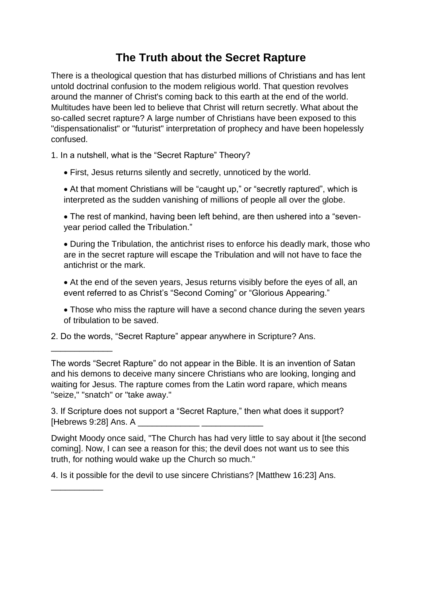## **The Truth about the Secret Rapture**

There is a theological question that has disturbed millions of Christians and has lent untold doctrinal confusion to the modem religious world. That question revolves around the manner of Christ's coming back to this earth at the end of the world. Multitudes have been led to believe that Christ will return secretly. What about the so-called secret rapture? A large number of Christians have been exposed to this "dispensationalist" or "futurist" interpretation of prophecy and have been hopelessly confused.

1. In a nutshell, what is the "Secret Rapture" Theory?

First, Jesus returns silently and secretly, unnoticed by the world.

• At that moment Christians will be "caught up," or "secretly raptured", which is interpreted as the sudden vanishing of millions of people all over the globe.

 The rest of mankind, having been left behind, are then ushered into a "sevenyear period called the Tribulation."

 During the Tribulation, the antichrist rises to enforce his deadly mark, those who are in the secret rapture will escape the Tribulation and will not have to face the antichrist or the mark.

 At the end of the seven years, Jesus returns visibly before the eyes of all, an event referred to as Christ's "Second Coming" or "Glorious Appearing."

 Those who miss the rapture will have a second chance during the seven years of tribulation to be saved.

2. Do the words, "Secret Rapture" appear anywhere in Scripture? Ans.

\_\_\_\_\_\_\_\_\_\_\_\_\_

\_\_\_\_\_\_\_\_\_\_\_

The words "Secret Rapture" do not appear in the Bible. It is an invention of Satan and his demons to deceive many sincere Christians who are looking, longing and waiting for Jesus. The rapture comes from the Latin word rapare, which means "seize," "snatch" or "take away."

3. If Scripture does not support a "Secret Rapture," then what does it support? [Hebrews  $9:28$ ] Ans. A

Dwight Moody once said, "The Church has had very little to say about it [the second coming]. Now, I can see a reason for this; the devil does not want us to see this truth, for nothing would wake up the Church so much."

4. Is it possible for the devil to use sincere Christians? [Matthew 16:23] Ans.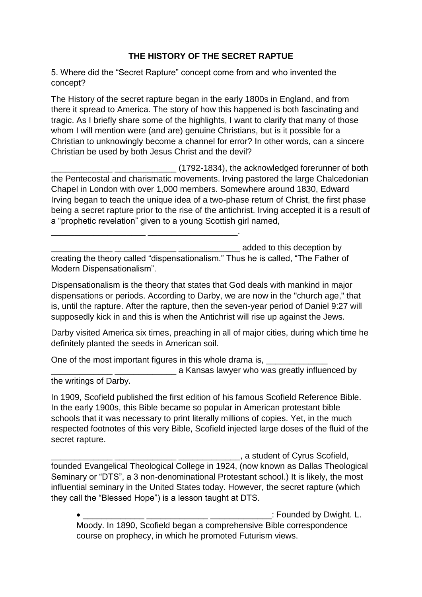## **THE HISTORY OF THE SECRET RAPTUE**

5. Where did the "Secret Rapture" concept come from and who invented the concept?

The History of the secret rapture began in the early 1800s in England, and from there it spread to America. The story of how this happened is both fascinating and tragic. As I briefly share some of the highlights, I want to clarify that many of those whom I will mention were (and are) genuine Christians, but is it possible for a Christian to unknowingly become a channel for error? In other words, can a sincere Christian be used by both Jesus Christ and the devil?

\_\_\_\_\_\_\_\_\_\_\_\_\_ \_\_\_\_\_\_\_\_\_\_\_\_\_ (1792-1834), the acknowledged forerunner of both the Pentecostal and charismatic movements. Irving pastored the large Chalcedonian Chapel in London with over 1,000 members. Somewhere around 1830, Edward Irving began to teach the unique idea of a two-phase return of Christ, the first phase being a secret rapture prior to the rise of the antichrist. Irving accepted it is a result of a "prophetic revelation" given to a young Scottish girl named,

\_\_\_\_\_\_\_\_\_\_\_\_\_ \_\_\_\_\_\_\_\_\_\_\_\_\_ \_\_\_\_\_\_\_\_\_\_\_\_\_ added to this deception by creating the theory called "dispensationalism." Thus he is called, "The Father of Modern Dispensationalism".

Dispensationalism is the theory that states that God deals with mankind in major dispensations or periods. According to Darby, we are now in the "church age," that is, until the rapture. After the rapture, then the seven-year period of Daniel 9:27 will supposedly kick in and this is when the Antichrist will rise up against the Jews.

Darby visited America six times, preaching in all of major cities, during which time he definitely planted the seeds in American soil.

One of the most important figures in this whole drama is, \_\_\_\_\_\_\_\_\_\_\_\_\_\_\_\_\_\_\_\_\_\_

\_\_\_\_\_\_\_\_\_\_\_\_\_\_\_\_\_\_\_\_ \_\_\_\_\_\_\_\_\_\_\_\_\_\_\_\_\_\_\_.

\_\_\_\_\_\_\_\_\_\_\_\_\_ \_\_\_\_\_\_\_\_\_\_\_\_\_ a Kansas lawyer who was greatly influenced by the writings of Darby.

In 1909, Scofield published the first edition of his famous Scofield Reference Bible. In the early 1900s, this Bible became so popular in American protestant bible schools that it was necessary to print literally millions of copies. Yet, in the much respected footnotes of this very Bible, Scofield injected large doses of the fluid of the secret rapture.

\_\_\_\_\_\_\_\_\_\_\_\_\_ \_\_\_\_\_\_\_\_\_\_\_\_\_ \_\_\_\_\_\_\_\_\_\_\_\_\_, a student of Cyrus Scofield, founded Evangelical Theological College in 1924, (now known as Dallas Theological Seminary or "DTS", a 3 non-denominational Protestant school.) It is likely, the most influential seminary in the United States today. However, the secret rapture (which they call the "Blessed Hope") is a lesson taught at DTS.

 \_\_\_\_\_\_\_\_\_\_\_\_\_ \_\_\_\_\_\_\_\_\_\_\_\_\_ \_\_\_\_\_\_\_\_\_\_\_\_\_: Founded by Dwight. L. Moody. In 1890, Scofield began a comprehensive Bible correspondence course on prophecy, in which he promoted Futurism views.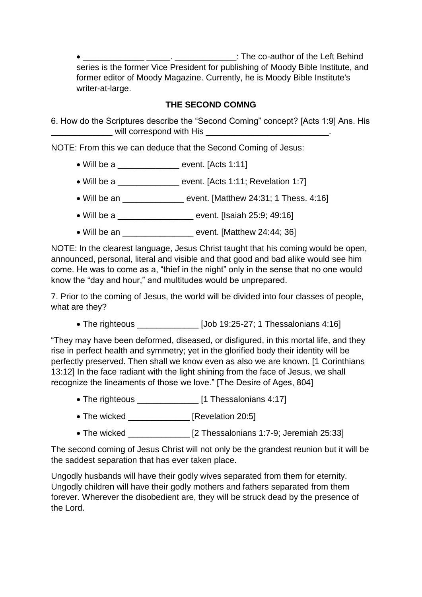\_\_\_\_\_\_\_\_\_\_\_\_\_ \_\_\_\_\_. \_\_\_\_\_\_\_\_\_\_\_\_\_: The co-author of the Left Behind series is the former Vice President for publishing of Moody Bible Institute, and former editor of Moody Magazine. Currently, he is Moody Bible Institute's writer-at-large.

## **THE SECOND COMNG**

6. How do the Scriptures describe the "Second Coming" concept? [Acts 1:9] Ans. His will correspond with His **will correspond** with His **will be a set of the set of the set of the set of the set of the set of the set of the set of the set of the set of the set of the set of the set of the set of the set o** 

NOTE: From this we can deduce that the Second Coming of Jesus:

- Will be a \_\_\_\_\_\_\_\_\_\_\_\_\_ event. [Acts 1:11]
- Will be a \_\_\_\_\_\_\_\_\_\_\_\_\_\_\_\_\_ event. [Acts 1:11; Revelation 1:7]
- Will be an  $\blacksquare$  event. [Matthew 24:31; 1 Thess. 4:16]
- Will be a **buyer be a** be event. [Isaiah 25:9; 49:16]
- Will be an \_\_\_\_\_\_\_\_\_\_\_\_\_\_\_\_\_\_\_\_ event. [Matthew 24:44: 36]

NOTE: In the clearest language, Jesus Christ taught that his coming would be open, announced, personal, literal and visible and that good and bad alike would see him come. He was to come as a, "thief in the night" only in the sense that no one would know the "day and hour," and multitudes would be unprepared.

7. Prior to the coming of Jesus, the world will be divided into four classes of people, what are they?

• The righteous [Job 19:25-27; 1 Thessalonians 4:16]

"They may have been deformed, diseased, or disfigured, in this mortal life, and they rise in perfect health and symmetry; yet in the glorified body their identity will be perfectly preserved. Then shall we know even as also we are known. [1 Corinthians 13:12] In the face radiant with the light shining from the face of Jesus, we shall recognize the lineaments of those we love." [The Desire of Ages, 804]

- The righteous \_\_\_\_\_\_\_\_\_\_\_\_\_\_\_\_ [1 Thessalonians 4:17]
- The wicked \_\_\_\_\_\_\_\_\_\_\_\_ [Revelation 20:5]
- The wicked \_\_\_\_\_\_\_\_\_\_\_\_\_\_\_\_ [2 Thessalonians 1:7-9; Jeremiah 25:33]

The second coming of Jesus Christ will not only be the grandest reunion but it will be the saddest separation that has ever taken place.

Ungodly husbands will have their godly wives separated from them for eternity. Ungodly children will have their godly mothers and fathers separated from them forever. Wherever the disobedient are, they will be struck dead by the presence of the Lord.